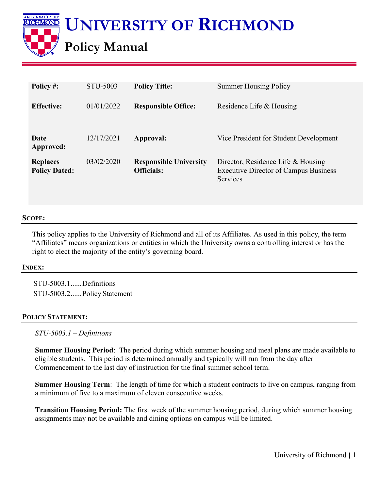

| Policy #:                               | STU-5003   | <b>Policy Title:</b>                               | <b>Summer Housing Policy</b>                                                                          |
|-----------------------------------------|------------|----------------------------------------------------|-------------------------------------------------------------------------------------------------------|
| <b>Effective:</b>                       | 01/01/2022 | <b>Responsible Office:</b>                         | Residence Life & Housing                                                                              |
| Date<br>Approved:                       | 12/17/2021 | Approval:                                          | Vice President for Student Development                                                                |
| <b>Replaces</b><br><b>Policy Dated:</b> | 03/02/2020 | <b>Responsible University</b><br><b>Officials:</b> | Director, Residence Life & Housing<br><b>Executive Director of Campus Business</b><br><b>Services</b> |

#### **SCOPE:**

This policy applies to the University of Richmond and all of its Affiliates. As used in this policy, the term "Affiliates" means organizations or entities in which the University owns a controlling interest or has the right to elect the majority of the entity's governing board.

#### **INDEX:**

STU-5003.1......Definitions STU-5003.2......Policy Statement

### **POLICY STATEMENT:**

*STU-5003.1 – Definitions*

**Summer Housing Period**: The period during which summer housing and meal plans are made available to eligible students. This period is determined annually and typically will run from the day after Commencement to the last day of instruction for the final summer school term.

**Summer Housing Term**: The length of time for which a student contracts to live on campus, ranging from a minimum of five to a maximum of eleven consecutive weeks.

**Transition Housing Period:** The first week of the summer housing period, during which summer housing assignments may not be available and dining options on campus will be limited.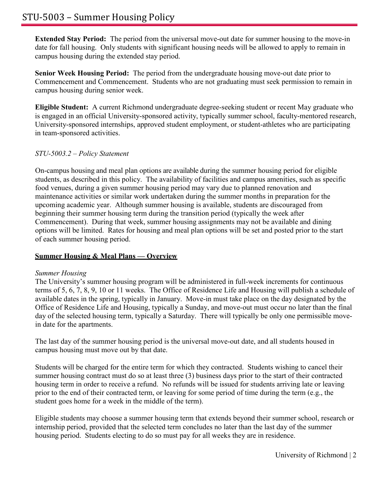**Extended Stay Period:** The period from the universal move-out date for summer housing to the move-in date for fall housing. Only students with significant housing needs will be allowed to apply to remain in campus housing during the extended stay period.

**Senior Week Housing Period:** The period from the undergraduate housing move-out date prior to Commencement and Commencement. Students who are not graduating must seek permission to remain in campus housing during senior week.

**Eligible Student:** A current Richmond undergraduate degree-seeking student or recent May graduate who is engaged in an official University-sponsored activity, typically summer school, faculty-mentored research, University-sponsored internships, approved student employment, or student-athletes who are participating in team-sponsored activities.

# *STU-5003.2 – Policy Statement*

On-campus housing and meal plan options are available during the summer housing period for eligible students, as described in this policy. The availability of facilities and campus amenities, such as specific food venues, during a given summer housing period may vary due to planned renovation and maintenance activities or similar work undertaken during the summer months in preparation for the upcoming academic year. Although summer housing is available, students are discouraged from beginning their summer housing term during the transition period (typically the week after Commencement). During that week, summer housing assignments may not be available and dining options will be limited. Rates for housing and meal plan options will be set and posted prior to the start of each summer housing period.

# **Summer Housing & Meal Plans — Overview**

# *Summer Housing*

The University's summer housing program will be administered in full-week increments for continuous terms of 5, 6, 7, 8, 9, 10 or 11 weeks. The Office of Residence Life and Housing will publish a schedule of available dates in the spring, typically in January. Move-in must take place on the day designated by the Office of Residence Life and Housing, typically a Sunday, and move-out must occur no later than the final day of the selected housing term, typically a Saturday. There will typically be only one permissible movein date for the apartments.

The last day of the summer housing period is the universal move-out date, and all students housed in campus housing must move out by that date.

Students will be charged for the entire term for which they contracted. Students wishing to cancel their summer housing contract must do so at least three (3) business days prior to the start of their contracted housing term in order to receive a refund. No refunds will be issued for students arriving late or leaving prior to the end of their contracted term, or leaving for some period of time during the term (e.g., the student goes home for a week in the middle of the term).

Eligible students may choose a summer housing term that extends beyond their summer school, research or internship period, provided that the selected term concludes no later than the last day of the summer housing period. Students electing to do so must pay for all weeks they are in residence.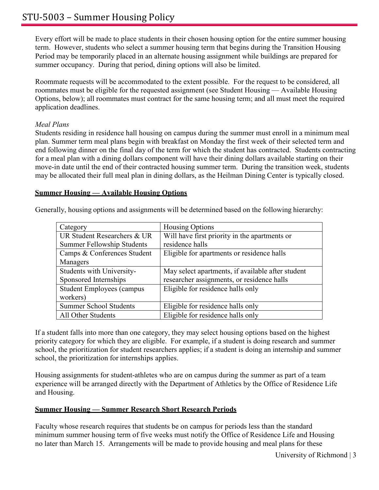Every effort will be made to place students in their chosen housing option for the entire summer housing term. However, students who select a summer housing term that begins during the Transition Housing Period may be temporarily placed in an alternate housing assignment while buildings are prepared for summer occupancy. During that period, dining options will also be limited.

Roommate requests will be accommodated to the extent possible. For the request to be considered, all roommates must be eligible for the requested assignment (see Student Housing — Available Housing Options, below); all roommates must contract for the same housing term; and all must meet the required application deadlines.

## *Meal Plans*

Students residing in residence hall housing on campus during the summer must enroll in a minimum meal plan. Summer term meal plans begin with breakfast on Monday the first week of their selected term and end following dinner on the final day of the term for which the student has contracted. Students contracting for a meal plan with a dining dollars component will have their dining dollars available starting on their move-in date until the end of their contracted housing summer term. During the transition week, students may be allocated their full meal plan in dining dollars, as the Heilman Dining Center is typically closed.

### **Summer Housing — Available Housing Options**

Generally, housing options and assignments will be determined based on the following hierarchy:

| Category                          | <b>Housing Options</b>                            |
|-----------------------------------|---------------------------------------------------|
| UR Student Researchers & UR       | Will have first priority in the apartments or     |
| <b>Summer Fellowship Students</b> | residence halls                                   |
| Camps & Conferences Student       | Eligible for apartments or residence halls        |
| Managers                          |                                                   |
| Students with University-         | May select apartments, if available after student |
| Sponsored Internships             | researcher assignments, or residence halls        |
| <b>Student Employees (campus</b>  | Eligible for residence halls only                 |
| workers)                          |                                                   |
| <b>Summer School Students</b>     | Eligible for residence halls only                 |
| All Other Students                | Eligible for residence halls only                 |

If a student falls into more than one category, they may select housing options based on the highest priority category for which they are eligible. For example, if a student is doing research and summer school, the prioritization for student researchers applies; if a student is doing an internship and summer school, the prioritization for internships applies.

Housing assignments for student-athletes who are on campus during the summer as part of a team experience will be arranged directly with the Department of Athletics by the Office of Residence Life and Housing.

# **Summer Housing — Summer Research Short Research Periods**

Faculty whose research requires that students be on campus for periods less than the standard minimum summer housing term of five weeks must notify the Office of Residence Life and Housing no later than March 15. Arrangements will be made to provide housing and meal plans for these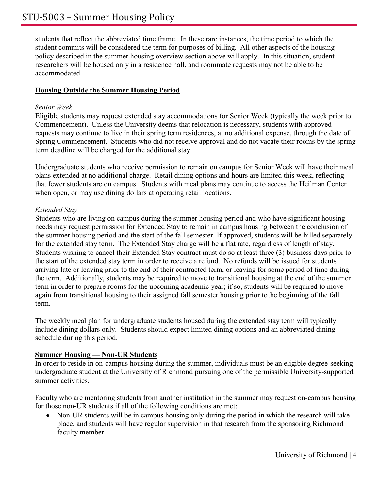students that reflect the abbreviated time frame. In these rare instances, the time period to which the student commits will be considered the term for purposes of billing. All other aspects of the housing policy described in the summer housing overview section above will apply. In this situation, student researchers will be housed only in a residence hall, and roommate requests may not be able to be accommodated.

## **Housing Outside the Summer Housing Period**

### *Senior Week*

Eligible students may request extended stay accommodations for Senior Week (typically the week prior to Commencement). Unless the University deems that relocation is necessary, students with approved requests may continue to live in their spring term residences, at no additional expense, through the date of Spring Commencement. Students who did not receive approval and do not vacate their rooms by the spring term deadline will be charged for the additional stay.

Undergraduate students who receive permission to remain on campus for Senior Week will have their meal plans extended at no additional charge. Retail dining options and hours are limited this week, reflecting that fewer students are on campus. Students with meal plans may continue to access the Heilman Center when open, or may use dining dollars at operating retail locations.

### *Extended Stay*

Students who are living on campus during the summer housing period and who have significant housing needs may request permission for Extended Stay to remain in campus housing between the conclusion of the summer housing period and the start of the fall semester. If approved, students will be billed separately for the extended stay term. The Extended Stay charge will be a flat rate, regardless of length of stay. Students wishing to cancel their Extended Stay contract must do so at least three (3) business days prior to the start of the extended stay term in order to receive a refund. No refunds will be issued for students arriving late or leaving prior to the end of their contracted term, or leaving for some period of time during the term. Additionally, students may be required to move to transitional housing at the end of the summer term in order to prepare rooms for the upcoming academic year; if so, students will be required to move again from transitional housing to their assigned fall semester housing prior tothe beginning of the fall term.

The weekly meal plan for undergraduate students housed during the extended stay term will typically include dining dollars only. Students should expect limited dining options and an abbreviated dining schedule during this period.

### **Summer Housing — Non-UR Students**

In order to reside in on-campus housing during the summer, individuals must be an eligible degree-seeking undergraduate student at the University of Richmond pursuing one of the permissible University-supported summer activities.

Faculty who are mentoring students from another institution in the summer may request on-campus housing for those non-UR students if all of the following conditions are met:

• Non-UR students will be in campus housing only during the period in which the research will take place, and students will have regular supervision in that research from the sponsoring Richmond faculty member